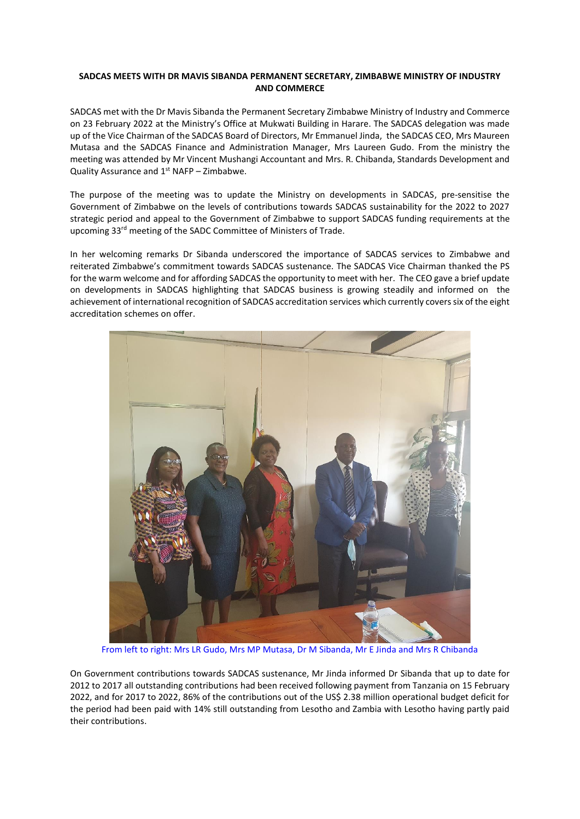## **SADCAS MEETS WITH DR MAVIS SIBANDA PERMANENT SECRETARY, ZIMBABWE MINISTRY OF INDUSTRY AND COMMERCE**

SADCAS met with the Dr Mavis Sibanda the Permanent Secretary Zimbabwe Ministry of Industry and Commerce on 23 February 2022 at the Ministry's Office at Mukwati Building in Harare. The SADCAS delegation was made up of the Vice Chairman of the SADCAS Board of Directors, Mr Emmanuel Jinda, the SADCAS CEO, Mrs Maureen Mutasa and the SADCAS Finance and Administration Manager, Mrs Laureen Gudo. From the ministry the meeting was attended by Mr Vincent Mushangi Accountant and Mrs. R. Chibanda, Standards Development and Quality Assurance and  $1^{st}$  NAFP – Zimbabwe.

The purpose of the meeting was to update the Ministry on developments in SADCAS, pre-sensitise the Government of Zimbabwe on the levels of contributions towards SADCAS sustainability for the 2022 to 2027 strategic period and appeal to the Government of Zimbabwe to support SADCAS funding requirements at the upcoming 33rd meeting of the SADC Committee of Ministers of Trade.

In her welcoming remarks Dr Sibanda underscored the importance of SADCAS services to Zimbabwe and reiterated Zimbabwe's commitment towards SADCAS sustenance. The SADCAS Vice Chairman thanked the PS for the warm welcome and for affording SADCAS the opportunity to meet with her. The CEO gave a brief update on developments in SADCAS highlighting that SADCAS business is growing steadily and informed on the achievement of international recognition of SADCAS accreditation services which currently coverssix of the eight accreditation schemes on offer.



From left to right: Mrs LR Gudo, Mrs MP Mutasa, Dr M Sibanda, Mr E Jinda and Mrs R Chibanda

On Government contributions towards SADCAS sustenance, Mr Jinda informed Dr Sibanda that up to date for 2012 to 2017 all outstanding contributions had been received following payment from Tanzania on 15 February 2022, and for 2017 to 2022, 86% of the contributions out of the US\$ 2.38 million operational budget deficit for the period had been paid with 14% still outstanding from Lesotho and Zambia with Lesotho having partly paid their contributions.